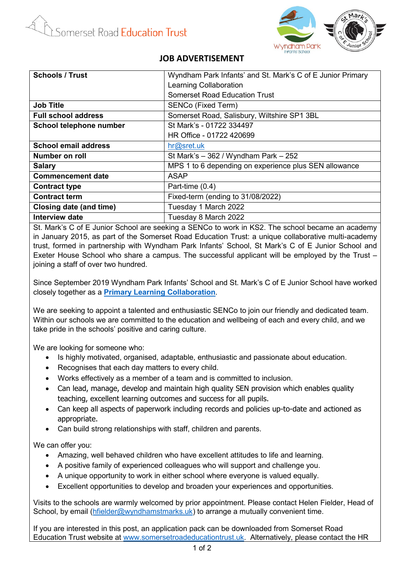

## **JOB ADVERTISEMENT**

| <b>Schools / Trust</b>      | Wyndham Park Infants' and St. Mark's C of E Junior Primary |
|-----------------------------|------------------------------------------------------------|
|                             | Learning Collaboration                                     |
|                             | <b>Somerset Road Education Trust</b>                       |
| <b>Job Title</b>            | SENCo (Fixed Term)                                         |
| <b>Full school address</b>  | Somerset Road, Salisbury, Wiltshire SP1 3BL                |
| School telephone number     | St Mark's - 01722 334497                                   |
|                             | HR Office - 01722 420699                                   |
| <b>School email address</b> | hr@set.uk                                                  |
| Number on roll              | St Mark's $-362$ / Wyndham Park $-252$                     |
| <b>Salary</b>               | MPS 1 to 6 depending on experience plus SEN allowance      |
| <b>Commencement date</b>    | <b>ASAP</b>                                                |
| <b>Contract type</b>        | Part-time (0.4)                                            |
| <b>Contract term</b>        | Fixed-term (ending to 31/08/2022)                          |
| Closing date (and time)     | Tuesday 1 March 2022                                       |
| <b>Interview date</b>       | Tuesday 8 March 2022                                       |

St. Mark's C of E Junior School are seeking a SENCo to work in KS2. The school became an academy in January 2015, as part of the Somerset Road Education Trust: a unique collaborative multi-academy trust, formed in partnership with Wyndham Park Infants' School, St Mark's C of E Junior School and Exeter House School who share a campus. The successful applicant will be employed by the Trust – joining a staff of over two hundred.

Since September 2019 Wyndham Park Infants' School and St. Mark's C of E Junior School have worked closely together as a **[Primary Learning Collaboration](https://st-marks.wilts.sch.uk/primary-learning-collaboration/)**.

We are seeking to appoint a talented and enthusiastic SENCo to join our friendly and dedicated team. Within our schools we are committed to the education and wellbeing of each and every child, and we take pride in the schools' positive and caring culture.

We are looking for someone who:

- Is highly motivated, organised, adaptable, enthusiastic and passionate about education.
- Recognises that each day matters to every child.
- Works effectively as a member of a team and is committed to inclusion.
- Can lead, manage, develop and maintain high quality SEN provision which enables quality teaching, excellent learning outcomes and success for all pupils.
- Can keep all aspects of paperwork including records and policies up-to-date and actioned as appropriate.
- Can build strong relationships with staff, children and parents.

We can offer you:

- Amazing, well behaved children who have excellent attitudes to life and learning.
- A positive family of experienced colleagues who will support and challenge you.
- A unique opportunity to work in either school where everyone is valued equally.
- Excellent opportunities to develop and broaden your experiences and opportunities.

Visits to the schools are warmly welcomed by prior appointment. Please contact Helen Fielder, Head of School, by email [\(hfielder@wyndhamstmarks.uk\)](mailto:hfielder@wyndhamstmarks.uk) to arrange a mutually convenient time.

If you are interested in this post, an application pack can be downloaded from Somerset Road Education Trust website at [www.somersetroadeducationtrust.uk.](http://www.somersetroadeducationtrust.uk/) Alternatively, please contact the HR